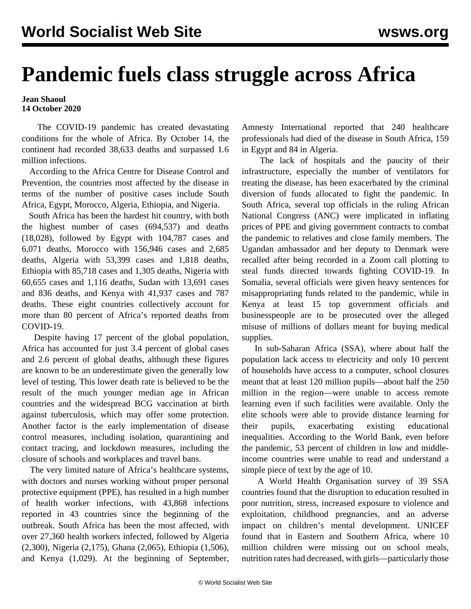## **Pandemic fuels class struggle across Africa**

## **Jean Shaoul 14 October 2020**

 The COVID-19 pandemic has created devastating conditions for the whole of Africa. By October 14, the continent had recorded 38,633 deaths and surpassed 1.6 million infections.

 According to the Africa Centre for Disease Control and Prevention, the countries most affected by the disease in terms of the number of positive cases include South Africa, Egypt, Morocco, Algeria, Ethiopia, and Nigeria.

 South Africa has been the hardest hit country, with both the highest number of cases (694,537) and deaths (18,028), followed by Egypt with 104,787 cases and 6,071 deaths, Morocco with 156,946 cases and 2,685 deaths, Algeria with 53,399 cases and 1,818 deaths, Ethiopia with 85,718 cases and 1,305 deaths, Nigeria with 60,655 cases and 1,116 deaths, Sudan with 13,691 cases and 836 deaths, and Kenya with 41,937 cases and 787 deaths. These eight countries collectively account for more than 80 percent of Africa's reported deaths from COVID-19.

 Despite having 17 percent of the global population, Africa has accounted for just 3.4 percent of global cases and 2.6 percent of global deaths, although these figures are known to be an underestimate given the generally low level of testing. This lower death rate is believed to be the result of the much younger median age in African countries and the widespread BCG vaccination at birth against tuberculosis, which may offer some protection. Another factor is the early implementation of disease control measures, including isolation, quarantining and contact tracing, and lockdown measures, including the closure of schools and workplaces and travel bans.

 The very limited nature of Africa's healthcare systems, with doctors and nurses working without proper personal protective equipment (PPE), has resulted in a high number of health worker infections, with 43,868 infections reported in 43 countries since the beginning of the outbreak. South Africa has been the most affected, with over 27,360 health workers infected, followed by Algeria (2,300), Nigeria (2,175), Ghana (2,065), Ethiopia (1,506), and Kenya (1,029). At the beginning of September,

Amnesty International reported that 240 healthcare professionals had died of the disease in South Africa, 159 in Egypt and 84 in Algeria.

 The lack of hospitals and the paucity of their infrastructure, especially the number of ventilators for treating the disease, has been exacerbated by the criminal diversion of funds allocated to fight the pandemic. In South Africa, several top officials in the ruling African National Congress (ANC) were implicated in inflating prices of PPE and giving government contracts to combat the pandemic to relatives and close family members. The Ugandan ambassador and her deputy to Denmark were recalled after being recorded in a Zoom call plotting to steal funds directed towards fighting COVID-19. In Somalia, several officials were given heavy sentences for misappropriating funds related to the pandemic, while in Kenya at least 15 top government officials and businesspeople are to be prosecuted over the alleged misuse of millions of dollars meant for buying medical supplies.

 In sub-Saharan Africa (SSA), where about half the population lack access to electricity and only 10 percent of households have access to a computer, school closures meant that at least 120 million pupils—about half the 250 million in the region—were unable to access remote learning even if such facilities were available. Only the elite schools were able to provide distance learning for their pupils, exacerbating existing educational inequalities. According to the World Bank, even before the pandemic, 53 percent of children in low and middleincome countries were unable to read and understand a simple piece of text by the age of 10.

 A World Health Organisation survey of 39 SSA countries found that the disruption to education resulted in poor nutrition, stress, increased exposure to violence and exploitation, childhood pregnancies, and an adverse impact on children's mental development. UNICEF found that in Eastern and Southern Africa, where 10 million children were missing out on school meals, nutrition rates had decreased, with girls—particularly those